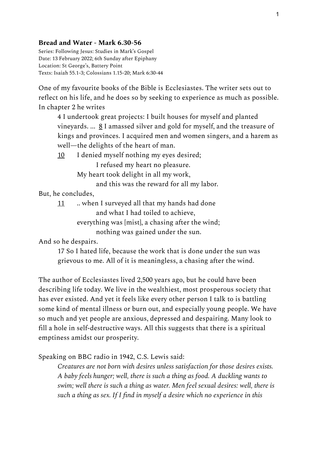## **Bread and Water - Mark 6.30-56**

Series: Following Jesus: Studies in Mark's Gospel Date: 13 February 2022; 6th Sunday after Epiphany Location: St George's, Battery Point Texts: Isaiah 55.1-3; Colossians 1.15-20; Mark 6:30-44

One of my favourite books of the Bible is Ecclesiastes. The writer sets out to reflect on his life, and he does so by seeking to experience as much as possible. In chapter 2 he writes

4 I undertook great projects: I built houses for myself and planted vineyards. ...  $\underline{8}$  I amassed silver and gold for myself, and the treasure of kings and provinces. I acquired men and women singers, and a harem as well—the delights of the heart of man.

10 I denied myself nothing my eyes desired;

I refused my heart no pleasure.

My heart took delight in all my work,

and this was the reward for all my labor.

But, he concludes,

11 .. when I surveyed all that my hands had done and what I had toiled to achieve, everything was [mist], a chasing after the wind;

nothing was gained under the sun.

And so he despairs.

17 So I hated life, because the work that is done under the sun was grievous to me. All of it is meaningless, a chasing after the wind.

The author of Ecclesiastes lived 2,500 years ago, but he could have been describing life today. We live in the wealthiest, most prosperous society that has ever existed. And yet it feels like every other person I talk to is battling some kind of mental illness or burn out, and especially young people. We have so much and yet people are anxious, depressed and despairing. Many look to fill a hole in self-destructive ways. All this suggests that there is a spiritual emptiness amidst our prosperity.

Speaking on BBC radio in 1942, C.S. Lewis said:

*Creatures are not born with desires unless satisfaction for those desires exists. A baby feels hunger; well, there is such a thing as food. A duckling wants to swim; well there is such a thing as water. Men feel sexual desires: well, there is such a thing as sex. If I find in myself a desire which no experience in this*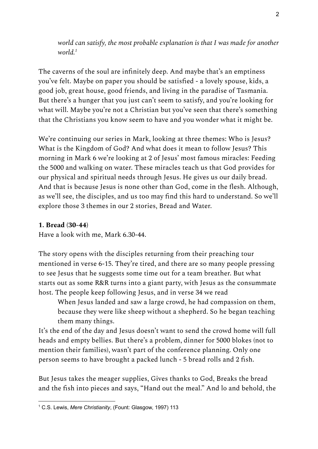*world can satisfy, the most probable explanation is that I was made for another world. 1*

The caverns of the soul are infinitely deep. And maybe that's an emptiness you've felt. Maybe on paper you should be satisfied - a lovely spouse, kids, a good job, great house, good friends, and living in the paradise of Tasmania. But there's a hunger that you just can't seem to satisfy, and you're looking for what will. Maybe you're not a Christian but you've seen that there's something that the Christians you know seem to have and you wonder what it might be.

We're continuing our series in Mark, looking at three themes: Who is Jesus? What is the Kingdom of God? And what does it mean to follow Jesus? This morning in Mark 6 we're looking at 2 of Jesus' most famous miracles: Feeding the 5000 and walking on water. These miracles teach us that God provides for our physical and spiritual needs through Jesus. He gives us our daily bread. And that is because Jesus is none other than God, come in the flesh. Although, as we'll see, the disciples, and us too may find this hard to understand. So we'll explore those 3 themes in our 2 stories, Bread and Water.

## **1. Bread (30-44)**

Have a look with me, Mark 6.30-44.

The story opens with the disciples returning from their preaching tour mentioned in verse 6-15. They're tired, and there are so many people pressing to see Jesus that he suggests some time out for a team breather. But what starts out as some R&R turns into a giant party, with Jesus as the consummate host. The people keep following Jesus, and in verse 34 we read

When Jesus landed and saw a large crowd, he had compassion on them, because they were like sheep without a shepherd. So he began teaching them many things.

It's the end of the day and Jesus doesn't want to send the crowd home will full heads and empty bellies. But there's a problem, dinner for 5000 blokes (not to mention their families), wasn't part of the conference planning. Only one person seems to have brought a packed lunch - 5 bread rolls and 2 fish.

But Jesus takes the meager supplies, Gives thanks to God, Breaks the bread and the fish into pieces and says, "Hand out the meal." And lo and behold, the

<sup>1</sup> C.S. Lewis, *Mere Christianity*, (Fount: Glasgow, 1997) 113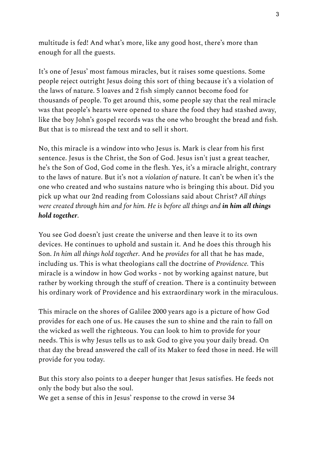multitude is fed! And what's more, like any good host, there's more than enough for all the guests.

It's one of Jesus' most famous miracles, but it raises some questions. Some people reject outright Jesus doing this sort of thing because it's a violation of the laws of nature. 5 loaves and 2 fish simply cannot become food for thousands of people. To get around this, some people say that the real miracle was that people's hearts were opened to share the food they had stashed away, like the boy John's gospel records was the one who brought the bread and fish. But that is to misread the text and to sell it short.

No, this miracle is a window into who Jesus is. Mark is clear from his first sentence. Jesus is the Christ, the Son of God. Jesus isn't just a great teacher, he's the Son of God, God come in the flesh. Yes, it's a miracle alright, contrary to the laws of nature. But it's not a *violation of* nature. It can't be when it's the one who created and who sustains nature who is bringing this about. Did you pick up what our 2nd reading from Colossians said about Christ? *All things were created through him and for him. He is before all things and in him all things hold together*.

You see God doesn't just create the universe and then leave it to its own devices. He continues to uphold and sustain it. And he does this through his Son. *In him all things hold together*. And he *provides* for all that he has made, including us. This is what theologians call the doctrine of *Providence.* This miracle is a window in how God works - not by working against nature, but rather by working through the stuff of creation. There is a continuity between his ordinary work of Providence and his extraordinary work in the miraculous.

This miracle on the shores of Galilee 2000 years ago is a picture of how God provides for each one of us. He causes the sun to shine and the rain to fall on the wicked as well the righteous. You can look to him to provide for your needs. This is why Jesus tells us to ask God to give you your daily bread. On that day the bread answered the call of its Maker to feed those in need. He will provide for you today.

But this story also points to a deeper hunger that Jesus satisfies. He feeds not only the body but also the soul.

We get a sense of this in Jesus' response to the crowd in verse 34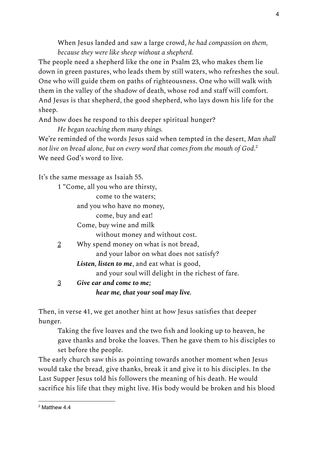When Jesus landed and saw a large crowd, *he had compassion on them, because they were like sheep without a shepherd.*

The people need a shepherd like the one in Psalm 23, who makes them lie down in green pastures, who leads them by still waters, who refreshes the soul. One who will guide them on paths of righteousness. One who will walk with them in the valley of the shadow of death, whose rod and staff will comfort. And Jesus is that shepherd, the good shepherd, who lays down his life for the sheep.

And how does he respond to this deeper spiritual hunger?

*He began teaching them many things.*

We're reminded of the words Jesus said when tempted in the desert, *Man shall not live on bread alone, but on every word that comes from the mouth of God*. 2 We need God's word to live.

It's the same message as Isaiah 55.

1 "Come, all you who are thirsty, come to the waters; and you who have no money, come, buy and eat! Come, buy wine and milk without money and without cost. 2 Why spend money on what is not bread, and your labor on what does not satisfy? *Listen, listen to me*, and eat what is good, and your soul will delight in the richest of fare. 3 *Give ear and come to me; hear me, that your soul may live.*

Then, in verse 41, we get another hint at how Jesus satisfies that deeper hunger.

Taking the five loaves and the two fish and looking up to heaven, he gave thanks and broke the loaves. Then he gave them to his disciples to set before the people.

The early church saw this as pointing towards another moment when Jesus would take the bread, give thanks, break it and give it to his disciples. In the Last Supper Jesus told his followers the meaning of his death. He would sacrifice his life that they might live. His body would be broken and his blood

<sup>2</sup> Matthew 4.4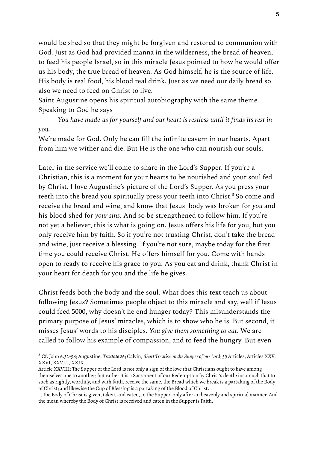would be shed so that they might be forgiven and restored to communion with God. Just as God had provided manna in the wilderness, the bread of heaven, to feed his people Israel, so in this miracle Jesus pointed to how he would offer us his body, the true bread of heaven. As God himself, he is the source of life. His body is real food, his blood real drink. Just as we need our daily bread so also we need to feed on Christ to live.

Saint Augustine opens his spiritual autobiography with the same theme. Speaking to God he says

*You have made us for yourself and our heart is restless until it finds its rest in you.*

We're made for God. Only he can fill the infinite cavern in our hearts. Apart from him we wither and die. But He is the one who can nourish our souls.

Later in the service we'll come to share in the Lord's Supper. If you're a Christian, this is a moment for your hearts to be nourished and your soul fed by Christ. I love Augustine's picture of the Lord's Supper. As you press your teeth into the bread you spiritually press your teeth into Christ. $^3$  So come and receive the bread and wine, and know that Jesus' body was broken for *you* and his blood shed for *your sins*. And so be strengthened to follow him. If you're not yet a believer, this is what is going on. Jesus offers his life for you, but you only receive him by faith. So if you're not trusting Christ, don't take the bread and wine, just receive a blessing. If you're not sure, maybe today for the first time you could receive Christ. He offers himself for you. Come with hands open to ready to receive his grace to you. As you eat and drink, thank Christ in your heart for death for you and the life he gives.

Christ feeds both the body and the soul. What does this text teach us about following Jesus? Sometimes people object to this miracle and say, well if Jesus could feed 5000, why doesn't he end hunger today? This misunderstands the primary purpose of Jesus' miracles, which is to show who he is. But second, it misses Jesus' words to his disciples. *You give them something to eat*. We are called to follow his example of compassion, and to feed the hungry. But even

<sup>3</sup> Cf. John 6.32-58; Augustine, *Tractate 26*; Calvin, *Short Treatise on the Supper of our Lord*; 39 Articles, Articles XXV, XXVI, XXVIII, XXIX.

Article XXVIII: The Supper of the Lord is not only a sign of the love that Christians ought to have among themselves one to another; but rather it is a Sacrament of our Redemption by Christ's death: insomuch that to such as rightly, worthily, and with faith, receive the same, the Bread which we break is a partaking of the Body of Christ; and likewise the Cup of Blessing is a partaking of the Blood of Christ.

<sup>…</sup> The Body of Christ is given, taken, and eaten, in the Supper, only after an heavenly and spiritual manner. And the mean whereby the Body of Christ is received and eaten in the Supper is Faith.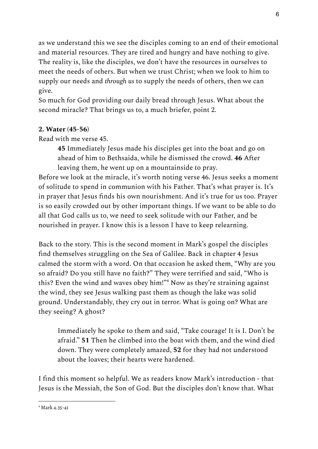as we understand this we see the disciples coming to an end of their emotional and material resources. They are tired and hungry and have nothing to give. The reality is, like the disciples, we don't have the resources in ourselves to meet the needs of others. But when we trust Christ; when we look to him to supply our needs and *through us* to supply the needs of others, then we can give.

So much for God providing our daily bread through Jesus. What about the second miracle? That brings us to, a much briefer, point 2.

## **2. Water (45-56)**

Read with me verse 45.

**45** Immediately Jesus made his disciples get into the boat and go on ahead of him to Bethsaida, while he dismissed the crowd. **46** After leaving them, he went up on a mountainside to pray.

Before we look at the miracle, it's worth noting verse 46. Jesus seeks a moment of solitude to spend in communion with his Father. That's what prayer is. It's in prayer that Jesus finds his own nourishment. And it's true for us too. Prayer is so easily crowded out by other important things. If we want to be able to do all that God calls us to, we need to seek solitude with our Father, and be nourished in prayer. I know this is a lesson I have to keep relearning.

Back to the story. This is the second moment in Mark's gospel the disciples find themselves struggling on the Sea of Galilee. Back in chapter 4 Jesus calmed the storm with a word. On that occasion he asked them, "Why are you so afraid? Do you still have no faith?" They were terrified and said, "Who is this? Even the wind and waves obey him!"<sup>4</sup> Now as they're straining against the wind, they see Jesus walking past them as though the lake was solid ground. Understandably, they cry out in terror. What is going on? What are they seeing? A ghost?

Immediately he spoke to them and said, "Take courage! It is I. Don't be afraid." **51** Then he climbed into the boat with them, and the wind died down. They were completely amazed, **52** for they had not understood about the loaves; their hearts were hardened.

I find this moment so helpful. We as readers know Mark's introduction - that Jesus is the Messiah, the Son of God. But the disciples don't know that. What

<sup>4</sup> Mark 4.35-41